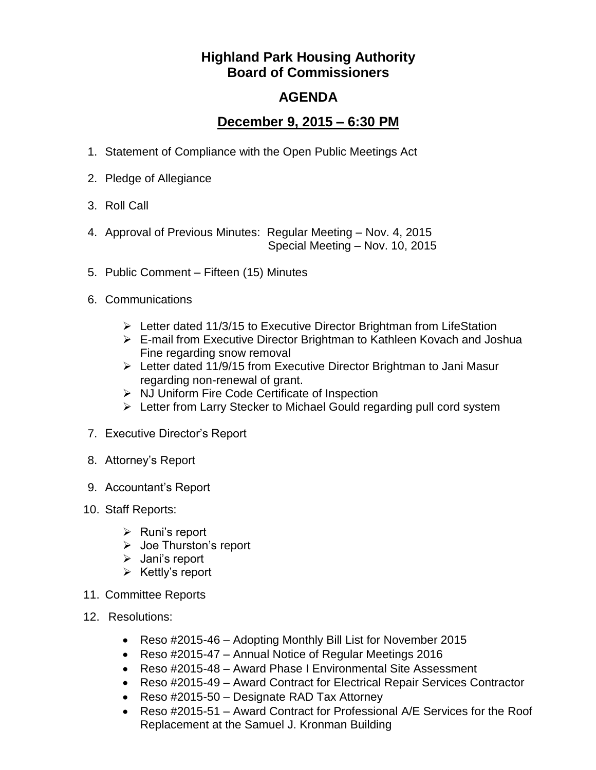## **Highland Park Housing Authority Board of Commissioners**

## **AGENDA**

## **December 9, 2015 – 6:30 PM**

- 1. Statement of Compliance with the Open Public Meetings Act
- 2. Pledge of Allegiance
- 3. Roll Call
- 4. Approval of Previous Minutes: Regular Meeting Nov. 4, 2015 Special Meeting – Nov. 10, 2015
- 5. Public Comment Fifteen (15) Minutes
- 6. Communications
	- Letter dated 11/3/15 to Executive Director Brightman from LifeStation
	- E-mail from Executive Director Brightman to Kathleen Kovach and Joshua Fine regarding snow removal
	- Letter dated 11/9/15 from Executive Director Brightman to Jani Masur regarding non-renewal of grant.
	- $\triangleright$  NJ Uniform Fire Code Certificate of Inspection
	- Exter from Larry Stecker to Michael Gould regarding pull cord system
- 7. Executive Director's Report
- 8. Attorney's Report
- 9. Accountant's Report
- 10. Staff Reports:
	- $\triangleright$  Runi's report
	- Joe Thurston's report
	- $\triangleright$  Jani's report
	- $\triangleright$  Kettly's report
- 11. Committee Reports
- 12. Resolutions:
	- Reso #2015-46 Adopting Monthly Bill List for November 2015
	- Reso #2015-47 Annual Notice of Regular Meetings 2016
	- Reso #2015-48 Award Phase I Environmental Site Assessment
	- Reso #2015-49 Award Contract for Electrical Repair Services Contractor
	- Reso #2015-50 Designate RAD Tax Attorney
	- Reso #2015-51 Award Contract for Professional A/E Services for the Roof Replacement at the Samuel J. Kronman Building